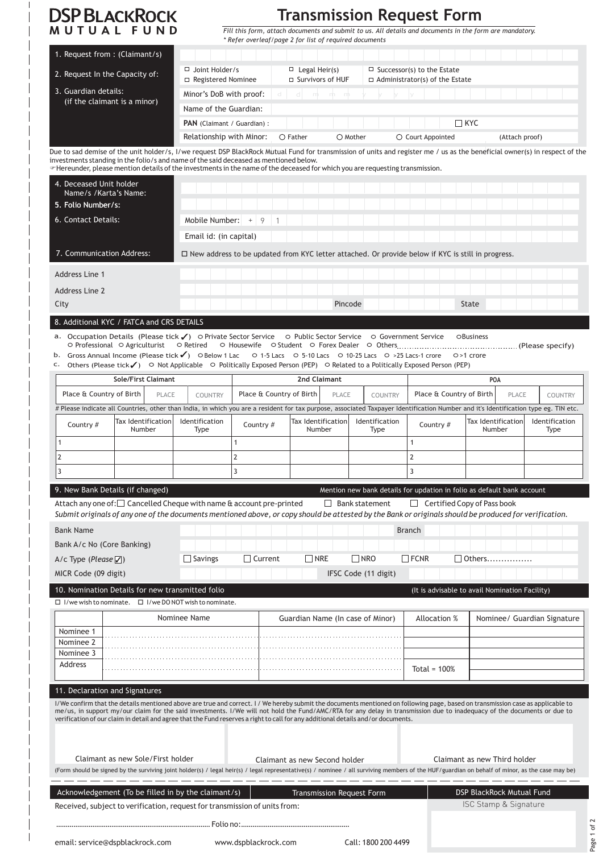| <b>DSP BLACKROCK</b>                                                                                                                                                                                                                                                                                                                                                                                                                                                                                                            |                                                                                    |                                                                                                                                    |                                                        |                                                                                     |                   |                                  |                              |                      | Transmission Request Form  |           |                                    |                                                                                                         |                        |
|---------------------------------------------------------------------------------------------------------------------------------------------------------------------------------------------------------------------------------------------------------------------------------------------------------------------------------------------------------------------------------------------------------------------------------------------------------------------------------------------------------------------------------|------------------------------------------------------------------------------------|------------------------------------------------------------------------------------------------------------------------------------|--------------------------------------------------------|-------------------------------------------------------------------------------------|-------------------|----------------------------------|------------------------------|----------------------|----------------------------|-----------|------------------------------------|---------------------------------------------------------------------------------------------------------|------------------------|
| MUTUAL FUND                                                                                                                                                                                                                                                                                                                                                                                                                                                                                                                     |                                                                                    |                                                                                                                                    | * Refer overleaf/page 2 for list of required documents |                                                                                     |                   |                                  |                              |                      |                            |           |                                    | Fill this form, attach documents and submit to us. All details and documents in the form are mandatory. |                        |
| 1. Request from: (Claimant/s)                                                                                                                                                                                                                                                                                                                                                                                                                                                                                                   |                                                                                    |                                                                                                                                    |                                                        |                                                                                     |                   |                                  |                              |                      |                            |           |                                    |                                                                                                         |                        |
|                                                                                                                                                                                                                                                                                                                                                                                                                                                                                                                                 | $\Box$ Joint Holder/s<br>$\Box$ Legal Heir(s)<br>$\Box$ Successor(s) to the Estate |                                                                                                                                    |                                                        |                                                                                     |                   |                                  |                              |                      |                            |           |                                    |                                                                                                         |                        |
|                                                                                                                                                                                                                                                                                                                                                                                                                                                                                                                                 | 2. Request In the Capacity of:                                                     |                                                                                                                                    |                                                        | □ Survivors of HUF<br>□ Registered Nominee<br>$\Box$ Administrator(s) of the Estate |                   |                                  |                              |                      |                            |           |                                    |                                                                                                         |                        |
| 3. Guardian details:<br>(if the claimant is a minor)                                                                                                                                                                                                                                                                                                                                                                                                                                                                            | Minor's DoB with proof:<br>ddminn                                                  |                                                                                                                                    |                                                        |                                                                                     |                   |                                  |                              |                      |                            |           |                                    |                                                                                                         |                        |
|                                                                                                                                                                                                                                                                                                                                                                                                                                                                                                                                 | Name of the Guardian:                                                              |                                                                                                                                    |                                                        |                                                                                     |                   |                                  |                              |                      |                            |           |                                    |                                                                                                         |                        |
|                                                                                                                                                                                                                                                                                                                                                                                                                                                                                                                                 |                                                                                    | PAN (Claimant / Guardian) :                                                                                                        |                                                        |                                                                                     |                   |                                  |                              |                      |                            |           | $\Box$ kyc                         |                                                                                                         |                        |
|                                                                                                                                                                                                                                                                                                                                                                                                                                                                                                                                 |                                                                                    | Relationship with Minor:                                                                                                           |                                                        |                                                                                     | $\bigcirc$ Father |                                  | $\bigcirc$ Mother            |                      | $\bigcirc$ Court Appointed |           |                                    | (Attach proof)                                                                                          |                        |
| Due to sad demise of the unit holder/s, I/we request DSP BlackRock Mutual Fund for transmission of units and register me / us as the beneficial owner(s) in respect of the<br>investments standing in the folio/s and name of the said deceased as mentioned below.<br>Thereunder, please mention details of the investments in the name of the deceased for which you are requesting transmission.                                                                                                                             |                                                                                    |                                                                                                                                    |                                                        |                                                                                     |                   |                                  |                              |                      |                            |           |                                    |                                                                                                         |                        |
| 4. Deceased Unit holder                                                                                                                                                                                                                                                                                                                                                                                                                                                                                                         |                                                                                    |                                                                                                                                    |                                                        |                                                                                     |                   |                                  |                              |                      |                            |           |                                    |                                                                                                         |                        |
| Name/s /Karta's Name:<br>5. Folio Number/s:                                                                                                                                                                                                                                                                                                                                                                                                                                                                                     |                                                                                    |                                                                                                                                    |                                                        |                                                                                     |                   |                                  |                              |                      |                            |           |                                    |                                                                                                         |                        |
| 6. Contact Details:                                                                                                                                                                                                                                                                                                                                                                                                                                                                                                             |                                                                                    | Mobile Number:                                                                                                                     |                                                        |                                                                                     |                   |                                  |                              |                      |                            |           |                                    |                                                                                                         |                        |
|                                                                                                                                                                                                                                                                                                                                                                                                                                                                                                                                 |                                                                                    |                                                                                                                                    |                                                        |                                                                                     |                   |                                  |                              |                      |                            |           |                                    |                                                                                                         |                        |
|                                                                                                                                                                                                                                                                                                                                                                                                                                                                                                                                 |                                                                                    | Email id: (in capital)<br>$\Box$ New address to be updated from KYC letter attached. Or provide below if KYC is still in progress. |                                                        |                                                                                     |                   |                                  |                              |                      |                            |           |                                    |                                                                                                         |                        |
| 7. Communication Address:                                                                                                                                                                                                                                                                                                                                                                                                                                                                                                       |                                                                                    |                                                                                                                                    |                                                        |                                                                                     |                   |                                  |                              |                      |                            |           |                                    |                                                                                                         |                        |
| <b>Address Line 1</b>                                                                                                                                                                                                                                                                                                                                                                                                                                                                                                           |                                                                                    |                                                                                                                                    |                                                        |                                                                                     |                   |                                  |                              |                      |                            |           |                                    |                                                                                                         |                        |
| <b>Address Line 2</b>                                                                                                                                                                                                                                                                                                                                                                                                                                                                                                           |                                                                                    |                                                                                                                                    |                                                        |                                                                                     |                   |                                  |                              |                      |                            |           |                                    |                                                                                                         |                        |
| City                                                                                                                                                                                                                                                                                                                                                                                                                                                                                                                            |                                                                                    |                                                                                                                                    |                                                        |                                                                                     |                   | Pincode                          |                              |                      |                            |           | <b>State</b>                       |                                                                                                         |                        |
| 8. Additional KYC / FATCA and CRS DETAILS                                                                                                                                                                                                                                                                                                                                                                                                                                                                                       |                                                                                    |                                                                                                                                    |                                                        |                                                                                     |                   |                                  |                              |                      |                            |           |                                    |                                                                                                         |                        |
| a. Occupation Details (Please tick √) O Private Sector Service O Public Sector Service O Government Service OBusiness<br>$\circ$ Professional $\circ$ Agriculturist $\circ$ Retired<br>b. Gross Annual Income (Please tick√) OBelow 1 Lac 0 1-5 Lacs 0 5-10 Lacs 0 10-25 Lacs 0 >25 Lacs-1 crore<br>Others (Please tick $\checkmark$ ) $\circ$ Not Applicable $\circ$ Politically Exposed Person (PEP) $\circ$ Related to a Politically Exposed Person (PEP)<br>c.                                                              |                                                                                    |                                                                                                                                    |                                                        |                                                                                     |                   |                                  |                              |                      |                            |           | O >1 crore                         |                                                                                                         |                        |
|                                                                                                                                                                                                                                                                                                                                                                                                                                                                                                                                 | Sole/First Claimant                                                                |                                                                                                                                    |                                                        |                                                                                     | 2nd Claimant      |                                  |                              |                      |                            |           |                                    | <b>POA</b>                                                                                              |                        |
| Place & Country of Birth                                                                                                                                                                                                                                                                                                                                                                                                                                                                                                        | COUNTRY                                                                            |                                                                                                                                    | Place & Country of Birth<br>PLACE                      |                                                                                     |                   |                                  | <b>COUNTRY</b>               |                      | Place & Country of Birth   |           | PLACE                              | COUNTRY                                                                                                 |                        |
| # Please indicate all Countries, other than India, in which you are a resident for tax purpose, associated Taxpayer Identification Number and it's Identification type eg. TIN etc.                                                                                                                                                                                                                                                                                                                                             |                                                                                    |                                                                                                                                    |                                                        |                                                                                     |                   |                                  |                              |                      |                            |           |                                    |                                                                                                         |                        |
| Country #                                                                                                                                                                                                                                                                                                                                                                                                                                                                                                                       | Tax Identification <br>Number                                                      | Identification<br>Type                                                                                                             | Country #                                              |                                                                                     | Number            | Tax Identification               |                              | Identification       |                            | Country # |                                    | Tax Identification<br>Number                                                                            | Identification<br>Type |
| 1                                                                                                                                                                                                                                                                                                                                                                                                                                                                                                                               |                                                                                    |                                                                                                                                    | 1                                                      |                                                                                     |                   |                                  | Type                         |                      | $\mathbf{1}$               |           |                                    |                                                                                                         |                        |
| $\overline{2}$                                                                                                                                                                                                                                                                                                                                                                                                                                                                                                                  |                                                                                    |                                                                                                                                    | 2                                                      |                                                                                     |                   |                                  |                              |                      | $\overline{2}$             |           |                                    |                                                                                                         |                        |
| 3                                                                                                                                                                                                                                                                                                                                                                                                                                                                                                                               |                                                                                    |                                                                                                                                    | 3                                                      |                                                                                     |                   |                                  |                              |                      | 3                          |           |                                    |                                                                                                         |                        |
| 9. New Bank Details (if changed)                                                                                                                                                                                                                                                                                                                                                                                                                                                                                                |                                                                                    |                                                                                                                                    |                                                        |                                                                                     |                   |                                  |                              |                      |                            |           |                                    | Mention new bank details for updation in folio as default bank account                                  |                        |
| Attach any one of: $\square$ Cancelled Cheque with name $\theta$ account pre-printed<br>Submit originals of any one of the documents mentioned above, or copy should be attested by the Bank or originals should be produced for verification.                                                                                                                                                                                                                                                                                  |                                                                                    |                                                                                                                                    |                                                        |                                                                                     |                   | Bank statement                   |                              |                      |                            |           | $\Box$ Certified Copy of Pass book |                                                                                                         |                        |
| <b>Bank Name</b>                                                                                                                                                                                                                                                                                                                                                                                                                                                                                                                |                                                                                    |                                                                                                                                    |                                                        |                                                                                     |                   |                                  |                              |                      | <b>Branch</b>              |           |                                    |                                                                                                         |                        |
| Bank A/c No (Core Banking)                                                                                                                                                                                                                                                                                                                                                                                                                                                                                                      |                                                                                    |                                                                                                                                    |                                                        |                                                                                     |                   |                                  |                              |                      |                            |           |                                    |                                                                                                         |                        |
| A/c Type (Please $\mathbb{Z}$ )                                                                                                                                                                                                                                                                                                                                                                                                                                                                                                 |                                                                                    | $\Box$ Savings                                                                                                                     | $\Box$ Current                                         |                                                                                     | l NRE             |                                  | <b>NRO</b>                   |                      | $\Box$ FCNR                |           | ∣ ∣Others…….                       |                                                                                                         |                        |
| MICR Code (09 digit)                                                                                                                                                                                                                                                                                                                                                                                                                                                                                                            |                                                                                    |                                                                                                                                    |                                                        |                                                                                     |                   |                                  |                              | IFSC Code (11 digit) |                            |           |                                    |                                                                                                         |                        |
| 10. Nomination Details for new transmitted folio                                                                                                                                                                                                                                                                                                                                                                                                                                                                                |                                                                                    |                                                                                                                                    |                                                        |                                                                                     |                   |                                  |                              |                      |                            |           |                                    | (It is advisable to avail Nomination Facility)                                                          |                        |
| $\Box$ I/we wish to nominate. $\Box$ I/we DO NOT wish to nominate.                                                                                                                                                                                                                                                                                                                                                                                                                                                              |                                                                                    |                                                                                                                                    |                                                        |                                                                                     |                   |                                  |                              |                      |                            |           |                                    |                                                                                                         |                        |
|                                                                                                                                                                                                                                                                                                                                                                                                                                                                                                                                 |                                                                                    | Nominee Name                                                                                                                       |                                                        | Guardian Name (In case of Minor)                                                    |                   |                                  |                              |                      | Allocation %               |           | Nominee/ Guardian Signature        |                                                                                                         |                        |
| Nominee 1                                                                                                                                                                                                                                                                                                                                                                                                                                                                                                                       |                                                                                    |                                                                                                                                    |                                                        |                                                                                     |                   |                                  |                              |                      |                            |           |                                    |                                                                                                         |                        |
| Nominee 2<br>Nominee 3                                                                                                                                                                                                                                                                                                                                                                                                                                                                                                          |                                                                                    |                                                                                                                                    |                                                        |                                                                                     |                   |                                  |                              |                      |                            |           |                                    |                                                                                                         |                        |
| <b>Address</b>                                                                                                                                                                                                                                                                                                                                                                                                                                                                                                                  |                                                                                    |                                                                                                                                    |                                                        |                                                                                     |                   |                                  |                              |                      |                            |           |                                    |                                                                                                         |                        |
|                                                                                                                                                                                                                                                                                                                                                                                                                                                                                                                                 |                                                                                    |                                                                                                                                    |                                                        |                                                                                     |                   |                                  | Total = $100%$               |                      |                            |           |                                    |                                                                                                         |                        |
| 11. Declaration and Signatures<br>I/We confirm that the details mentioned above are true and correct. I/We hereby submit the documents mentioned on following page, based on transmission case as applicable to<br>me/us, in support my/our claim for the said investments. I/We will not hold the Fund/AMC/RTA for any delay in transmission due to inadequacy of the documents or due to<br>verification of our claim in detail and agree that the Fund reserves a right to call for any additional details and/or documents. |                                                                                    |                                                                                                                                    |                                                        |                                                                                     |                   |                                  |                              |                      |                            |           |                                    |                                                                                                         |                        |
| Claimant as new Sole/First holder<br>Claimant as new Second holder<br>(Form should be signed by the surviving joint holder(s) / legal heir(s) / legal representative(s) / nominee / all surviving members of the HUF/guardian on behalf of minor, as the case may be)                                                                                                                                                                                                                                                           |                                                                                    |                                                                                                                                    |                                                        |                                                                                     |                   |                                  | Claimant as new Third holder |                      |                            |           |                                    |                                                                                                         |                        |
| Acknowledgement (To be filled in by the claimant/s)<br>Received, subject to verification, request for transmission of units from:                                                                                                                                                                                                                                                                                                                                                                                               |                                                                                    |                                                                                                                                    |                                                        |                                                                                     |                   | <b>Transmission Request Form</b> |                              |                      |                            |           |                                    | <b>DSP BlackRock Mutual Fund</b><br>ISC Stamp & Signature                                               |                        |
|                                                                                                                                                                                                                                                                                                                                                                                                                                                                                                                                 |                                                                                    |                                                                                                                                    |                                                        |                                                                                     |                   |                                  |                              |                      |                            |           |                                    |                                                                                                         |                        |
|                                                                                                                                                                                                                                                                                                                                                                                                                                                                                                                                 |                                                                                    |                                                                                                                                    |                                                        |                                                                                     |                   |                                  |                              |                      |                            |           |                                    |                                                                                                         |                        |

email: service@dspblackrock.com www.dspblackrock.com Call: 1800 200 4499